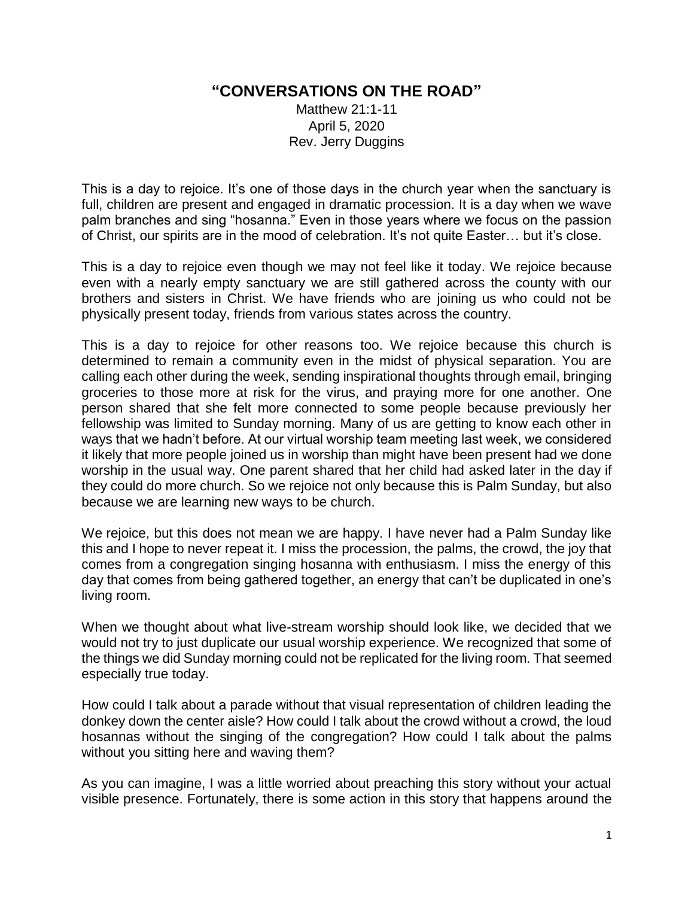## **"CONVERSATIONS ON THE ROAD"**

Matthew 21:1-11 April 5, 2020 Rev. Jerry Duggins

This is a day to rejoice. It's one of those days in the church year when the sanctuary is full, children are present and engaged in dramatic procession. It is a day when we wave palm branches and sing "hosanna." Even in those years where we focus on the passion of Christ, our spirits are in the mood of celebration. It's not quite Easter… but it's close.

This is a day to rejoice even though we may not feel like it today. We rejoice because even with a nearly empty sanctuary we are still gathered across the county with our brothers and sisters in Christ. We have friends who are joining us who could not be physically present today, friends from various states across the country.

This is a day to rejoice for other reasons too. We rejoice because this church is determined to remain a community even in the midst of physical separation. You are calling each other during the week, sending inspirational thoughts through email, bringing groceries to those more at risk for the virus, and praying more for one another. One person shared that she felt more connected to some people because previously her fellowship was limited to Sunday morning. Many of us are getting to know each other in ways that we hadn't before. At our virtual worship team meeting last week, we considered it likely that more people joined us in worship than might have been present had we done worship in the usual way. One parent shared that her child had asked later in the day if they could do more church. So we rejoice not only because this is Palm Sunday, but also because we are learning new ways to be church.

We rejoice, but this does not mean we are happy. I have never had a Palm Sunday like this and I hope to never repeat it. I miss the procession, the palms, the crowd, the joy that comes from a congregation singing hosanna with enthusiasm. I miss the energy of this day that comes from being gathered together, an energy that can't be duplicated in one's living room.

When we thought about what live-stream worship should look like, we decided that we would not try to just duplicate our usual worship experience. We recognized that some of the things we did Sunday morning could not be replicated for the living room. That seemed especially true today.

How could I talk about a parade without that visual representation of children leading the donkey down the center aisle? How could I talk about the crowd without a crowd, the loud hosannas without the singing of the congregation? How could I talk about the palms without you sitting here and waving them?

As you can imagine, I was a little worried about preaching this story without your actual visible presence. Fortunately, there is some action in this story that happens around the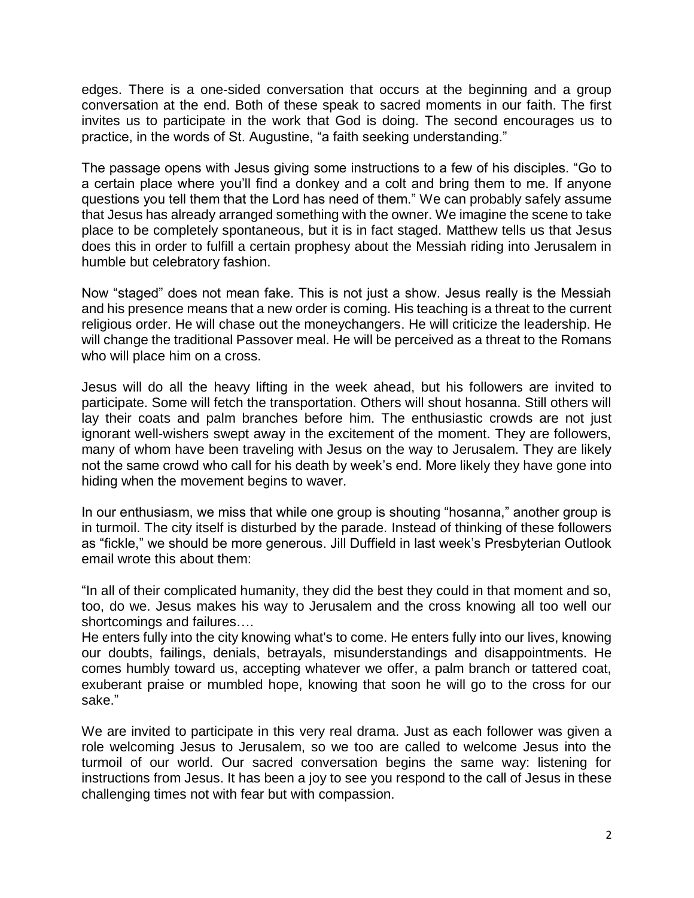edges. There is a one-sided conversation that occurs at the beginning and a group conversation at the end. Both of these speak to sacred moments in our faith. The first invites us to participate in the work that God is doing. The second encourages us to practice, in the words of St. Augustine, "a faith seeking understanding."

The passage opens with Jesus giving some instructions to a few of his disciples. "Go to a certain place where you'll find a donkey and a colt and bring them to me. If anyone questions you tell them that the Lord has need of them." We can probably safely assume that Jesus has already arranged something with the owner. We imagine the scene to take place to be completely spontaneous, but it is in fact staged. Matthew tells us that Jesus does this in order to fulfill a certain prophesy about the Messiah riding into Jerusalem in humble but celebratory fashion.

Now "staged" does not mean fake. This is not just a show. Jesus really is the Messiah and his presence means that a new order is coming. His teaching is a threat to the current religious order. He will chase out the moneychangers. He will criticize the leadership. He will change the traditional Passover meal. He will be perceived as a threat to the Romans who will place him on a cross.

Jesus will do all the heavy lifting in the week ahead, but his followers are invited to participate. Some will fetch the transportation. Others will shout hosanna. Still others will lay their coats and palm branches before him. The enthusiastic crowds are not just ignorant well-wishers swept away in the excitement of the moment. They are followers, many of whom have been traveling with Jesus on the way to Jerusalem. They are likely not the same crowd who call for his death by week's end. More likely they have gone into hiding when the movement begins to waver.

In our enthusiasm, we miss that while one group is shouting "hosanna," another group is in turmoil. The city itself is disturbed by the parade. Instead of thinking of these followers as "fickle," we should be more generous. Jill Duffield in last week's Presbyterian Outlook email wrote this about them:

"In all of their complicated humanity, they did the best they could in that moment and so, too, do we. Jesus makes his way to Jerusalem and the cross knowing all too well our shortcomings and failures….

He enters fully into the city knowing what's to come. He enters fully into our lives, knowing our doubts, failings, denials, betrayals, misunderstandings and disappointments. He comes humbly toward us, accepting whatever we offer, a palm branch or tattered coat, exuberant praise or mumbled hope, knowing that soon he will go to the cross for our sake."

We are invited to participate in this very real drama. Just as each follower was given a role welcoming Jesus to Jerusalem, so we too are called to welcome Jesus into the turmoil of our world. Our sacred conversation begins the same way: listening for instructions from Jesus. It has been a joy to see you respond to the call of Jesus in these challenging times not with fear but with compassion.